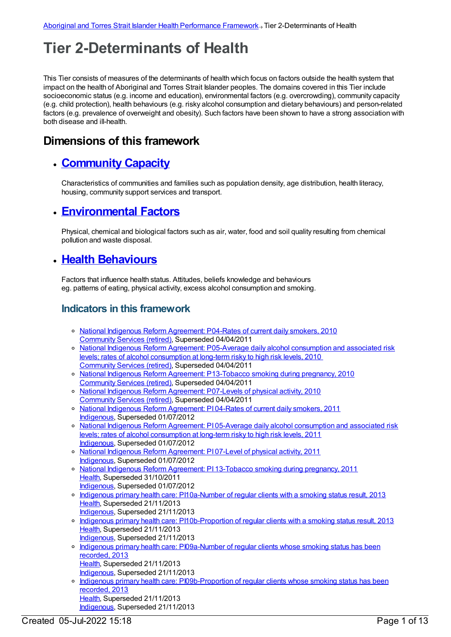# **Tier 2-Determinants of Health**

This Tier consists of measures of the determinants of health which focus on factors outside the health system that impact on the health of Aboriginal and Torres Strait Islander peoples. The domains covered in this Tier include socioeconomic status (e.g. income and education), environmental factors (e.g. overcrowding), community capacity (e.g. child protection), health behaviours (e.g. risky alcohol consumption and dietary behaviours) and person-related factors (e.g. prevalence of overweight and obesity). Such factors have been shown to have a strong association with both disease and ill-health.

# **Dimensions of this framework**

# **[Community](https://meteor.aihw.gov.au/content/410675) Capacity**

Characteristics of communities and families such as population density, age distribution, health literacy, housing, community support services and transport.

## **[Environmental](https://meteor.aihw.gov.au/content/410692) Factors**

Physical, chemical and biological factors such as air, water, food and soil quality resulting from chemical pollution and waste disposal.

## **Health [Behaviours](https://meteor.aihw.gov.au/content/410676)**

Factors that influence health status. Attitudes, beliefs knowledge and behaviours eg. patterns of eating, physical activity, excess alcohol consumption and smoking.

#### **Indicators in this framework**

- National Indigenous Reform [Agreement:](https://meteor.aihw.gov.au/content/396393) P04-Rates of current daily smokers, 2010 [Community](https://meteor.aihw.gov.au/RegistrationAuthority/1) Services (retired), Superseded 04/04/2011
- National Indigenous Reform Agreement: [P05-Average](https://meteor.aihw.gov.au/content/396434) daily alcohol consumption and associated risk levels; rates of alcohol consumption at long-term risky to high risk levels, 2010 [Community](https://meteor.aihw.gov.au/RegistrationAuthority/1) Services (retired), Superseded 04/04/2011
- o National Indigenous Reform Agreement: [P13-Tobacco](https://meteor.aihw.gov.au/content/396570) smoking during pregnancy, 2010 [Community](https://meteor.aihw.gov.au/RegistrationAuthority/1) Services (retired), Superseded 04/04/2011
- o National Indigenous Reform [Agreement:](https://meteor.aihw.gov.au/content/396450) P07-Levels of physical activity, 2010 [Community](https://meteor.aihw.gov.au/RegistrationAuthority/1) Services (retired), Superseded 04/04/2011
- o National Indigenous Reform [Agreement:](https://meteor.aihw.gov.au/content/425769) PI 04-Rates of current daily smokers, 2011 [Indigenous](https://meteor.aihw.gov.au/RegistrationAuthority/6), Superseded 01/07/2012
- o National Indigenous Reform Agreement: PI 05-Average daily alcohol [consumption](https://meteor.aihw.gov.au/content/425744) and associated risk levels; rates of alcohol consumption at long-term risky to high risk levels, 2011 [Indigenous](https://meteor.aihw.gov.au/RegistrationAuthority/6), Superseded 01/07/2012
- National Indigenous Reform [Agreement:](https://meteor.aihw.gov.au/content/425750) PI 07-Level of physical activity, 2011 [Indigenous](https://meteor.aihw.gov.au/RegistrationAuthority/6), Superseded 01/07/2012
- National Indigenous Reform Agreement: PI [13-Tobacco](https://meteor.aihw.gov.au/content/425773) smoking during pregnancy, 2011 [Health](https://meteor.aihw.gov.au/RegistrationAuthority/12), Superseded 31/10/2011
- [Indigenous](https://meteor.aihw.gov.au/RegistrationAuthority/6), Superseded 01/07/2012 Indigenous primary health care: [PI10a-Number](https://meteor.aihw.gov.au/content/431736) of regular clients with a smoking status result, 2013 [Health](https://meteor.aihw.gov.au/RegistrationAuthority/12), Superseded 21/11/2013
	- [Indigenous](https://meteor.aihw.gov.au/RegistrationAuthority/6), Superseded 21/11/2013
- o Indigenous primary health care: [PI10b-Proportion](https://meteor.aihw.gov.au/content/441560) of regular clients with a smoking status result, 2013 [Health](https://meteor.aihw.gov.au/RegistrationAuthority/12), Superseded 21/11/2013
- [Indigenous](https://meteor.aihw.gov.au/RegistrationAuthority/6), Superseded 21/11/2013 o Indigenous primary health care: [PI09a-Number](https://meteor.aihw.gov.au/content/468111) of regular clients whose smoking status has been recorded, 2013
	- [Health](https://meteor.aihw.gov.au/RegistrationAuthority/12), Superseded 21/11/2013
	- [Indigenous](https://meteor.aihw.gov.au/RegistrationAuthority/6), Superseded 21/11/2013
- o Indigenous primary health care: [PI09b-Proportion](https://meteor.aihw.gov.au/content/468114) of regular clients whose smoking status has been recorded, 2013 [Health](https://meteor.aihw.gov.au/RegistrationAuthority/12), Superseded 21/11/2013 [Indigenous](https://meteor.aihw.gov.au/RegistrationAuthority/6), Superseded 21/11/2013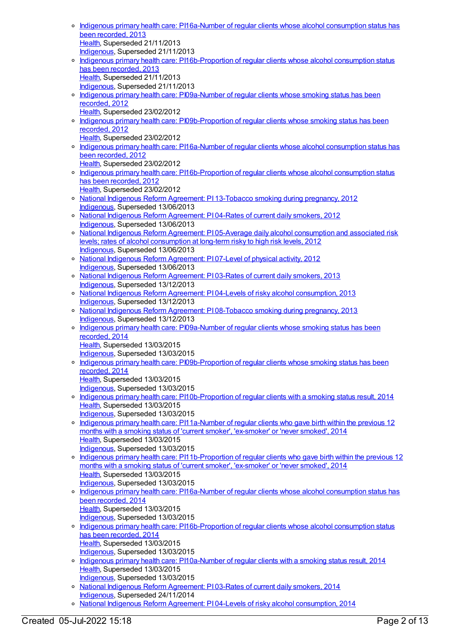- Indigenous primary health care: [PI16a-Number](https://meteor.aihw.gov.au/content/468121) of regular clients whose alcohol consumption status has been recorded, 2013 [Health](https://meteor.aihw.gov.au/RegistrationAuthority/12), Superseded 21/11/2013 [Indigenous](https://meteor.aihw.gov.au/RegistrationAuthority/6), Superseded 21/11/2013 o Indigenous primary health care: [PI16b-Proportion](https://meteor.aihw.gov.au/content/468123) of regular clients whose alcohol consumption status has been recorded, 2013 [Health](https://meteor.aihw.gov.au/RegistrationAuthority/12), Superseded 21/11/2013 [Indigenous](https://meteor.aihw.gov.au/RegistrationAuthority/6), Superseded 21/11/2013 o Indigenous primary health care: [PI09a-Number](https://meteor.aihw.gov.au/content/431125) of regular clients whose smoking status has been recorded, 2012 [Health](https://meteor.aihw.gov.au/RegistrationAuthority/12), Superseded 23/02/2012 o Indigenous primary health care: [PI09b-Proportion](https://meteor.aihw.gov.au/content/435799) of regular clients whose smoking status has been recorded, 2012 [Health](https://meteor.aihw.gov.au/RegistrationAuthority/12), Superseded 23/02/2012 o Indigenous primary health care: [PI16a-Number](https://meteor.aihw.gov.au/content/438220) of regular clients whose alcohol consumption status has been recorded, 2012 [Health](https://meteor.aihw.gov.au/RegistrationAuthority/12), Superseded 23/02/2012 o Indigenous primary health care: [PI16b-Proportion](https://meteor.aihw.gov.au/content/438224) of regular clients whose alcohol consumption status has been recorded, 2012 [Health](https://meteor.aihw.gov.au/RegistrationAuthority/12), Superseded 23/02/2012 o National Indigenous Reform Agreement: PI [13-Tobacco](https://meteor.aihw.gov.au/content/438635) smoking during pregnancy, 2012 [Indigenous](https://meteor.aihw.gov.au/RegistrationAuthority/6), Superseded 13/06/2013 o National Indigenous Reform [Agreement:](https://meteor.aihw.gov.au/content/438495) PI 04-Rates of current daily smokers, 2012 [Indigenous](https://meteor.aihw.gov.au/RegistrationAuthority/6), Superseded 13/06/2013 o National Indigenous Reform Agreement: PI 05-Average daily alcohol [consumption](https://meteor.aihw.gov.au/content/438585) and associated risk levels; rates of alcohol consumption at long-term risky to high risk levels, 2012 [Indigenous](https://meteor.aihw.gov.au/RegistrationAuthority/6), Superseded 13/06/2013 o National Indigenous Reform [Agreement:](https://meteor.aihw.gov.au/content/438591) PI 07-Level of physical activity, 2012 [Indigenous](https://meteor.aihw.gov.au/RegistrationAuthority/6), Superseded 13/06/2013 National Indigenous Reform [Agreement:](https://meteor.aihw.gov.au/content/482972) PI 03-Rates of current daily smokers, 2013 [Indigenous](https://meteor.aihw.gov.au/RegistrationAuthority/6), Superseded 13/12/2013 National Indigenous Reform Agreement: PI 04-Levels of risky alcohol [consumption,](https://meteor.aihw.gov.au/content/482978) 2013 [Indigenous](https://meteor.aihw.gov.au/RegistrationAuthority/6), Superseded 13/12/2013 o National Indigenous Reform Agreement: PI [08-Tobacco](https://meteor.aihw.gov.au/content/484309) smoking during pregnancy, 2013 [Indigenous](https://meteor.aihw.gov.au/RegistrationAuthority/6), Superseded 13/12/2013 o Indigenous primary health care: [PI09a-Number](https://meteor.aihw.gov.au/content/504710) of regular clients whose smoking status has been recorded, 2014 [Health](https://meteor.aihw.gov.au/RegistrationAuthority/12), Superseded 13/03/2015 [Indigenous](https://meteor.aihw.gov.au/RegistrationAuthority/6), Superseded 13/03/2015 o Indigenous primary health care: [PI09b-Proportion](https://meteor.aihw.gov.au/content/504712) of regular clients whose smoking status has been recorded, 2014 [Health](https://meteor.aihw.gov.au/RegistrationAuthority/12), Superseded 13/03/2015 [Indigenous](https://meteor.aihw.gov.au/RegistrationAuthority/6), Superseded 13/03/2015 o Indigenous primary health care: [PI10b-Proportion](https://meteor.aihw.gov.au/content/504716) of regular clients with a smoking status result, 2014 [Health](https://meteor.aihw.gov.au/RegistrationAuthority/12), Superseded 13/03/2015 [Indigenous](https://meteor.aihw.gov.au/RegistrationAuthority/6), Superseded 13/03/2015 o Indigenous primary health care: [PI11a-Number](https://meteor.aihw.gov.au/content/481489) of regular clients who gave birth within the previous 12 months with a smoking status of 'current smoker', 'ex-smoker' or 'never smoked', 2014 [Health](https://meteor.aihw.gov.au/RegistrationAuthority/12), Superseded 13/03/2015 [Indigenous](https://meteor.aihw.gov.au/RegistrationAuthority/6), Superseded 13/03/2015 o Indigenous primary health care: [PI11b-Proportion](https://meteor.aihw.gov.au/content/481494) of regular clients who gave birth within the previous 12 months with a smoking status of 'current smoker', 'ex-smoker' or 'never smoked', 2014 [Health](https://meteor.aihw.gov.au/RegistrationAuthority/12), Superseded 13/03/2015 [Indigenous](https://meteor.aihw.gov.au/RegistrationAuthority/6), Superseded 13/03/2015 o Indigenous primary health care: [PI16a-Number](https://meteor.aihw.gov.au/content/504743) of regular clients whose alcohol consumption status has been recorded, 2014 [Health](https://meteor.aihw.gov.au/RegistrationAuthority/12), Superseded 13/03/2015 [Indigenous](https://meteor.aihw.gov.au/RegistrationAuthority/6), Superseded 13/03/2015 o Indigenous primary health care: [PI16b-Proportion](https://meteor.aihw.gov.au/content/504745) of regular clients whose alcohol consumption status has been recorded, 2014 [Health](https://meteor.aihw.gov.au/RegistrationAuthority/12), Superseded 13/03/2015 [Indigenous](https://meteor.aihw.gov.au/RegistrationAuthority/6), Superseded 13/03/2015 o Indigenous primary health care: [PI10a-Number](https://meteor.aihw.gov.au/content/504714) of regular clients with a smoking status result, 2014 [Health](https://meteor.aihw.gov.au/RegistrationAuthority/12), Superseded 13/03/2015 [Indigenous](https://meteor.aihw.gov.au/RegistrationAuthority/6), Superseded 13/03/2015 o National Indigenous Reform [Agreement:](https://meteor.aihw.gov.au/content/525831) PI 03-Rates of current daily smokers, 2014 [Indigenous](https://meteor.aihw.gov.au/RegistrationAuthority/6), Superseded 24/11/2014
	- o National Indigenous Reform Agreement: PI 04-Levels of risky alcohol [consumption,](https://meteor.aihw.gov.au/content/525837) 2014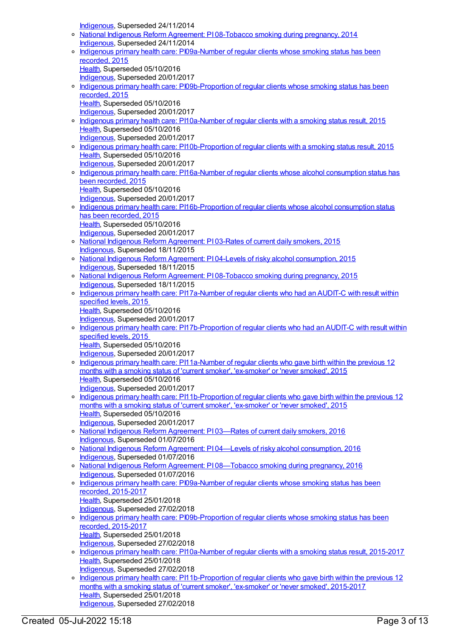[Indigenous](https://meteor.aihw.gov.au/RegistrationAuthority/6), Superseded 24/11/2014 o National Indigenous Reform Agreement: PI [08-Tobacco](https://meteor.aihw.gov.au/content/525835) smoking during pregnancy, 2014 [Indigenous](https://meteor.aihw.gov.au/RegistrationAuthority/6), Superseded 24/11/2014 o Indigenous primary health care: [PI09a-Number](https://meteor.aihw.gov.au/content/589019) of regular clients whose smoking status has been recorded, 2015 [Health](https://meteor.aihw.gov.au/RegistrationAuthority/12), Superseded 05/10/2016 [Indigenous](https://meteor.aihw.gov.au/RegistrationAuthority/6), Superseded 20/01/2017 o Indigenous primary health care: [PI09b-Proportion](https://meteor.aihw.gov.au/content/589021) of regular clients whose smoking status has been recorded, 2015 [Health](https://meteor.aihw.gov.au/RegistrationAuthority/12), Superseded 05/10/2016 [Indigenous](https://meteor.aihw.gov.au/RegistrationAuthority/6), Superseded 20/01/2017 Indigenous primary health care: [PI10a-Number](https://meteor.aihw.gov.au/content/589026) of regular clients with a smoking status result, 2015 [Health](https://meteor.aihw.gov.au/RegistrationAuthority/12), Superseded 05/10/2016 [Indigenous](https://meteor.aihw.gov.au/RegistrationAuthority/6), Superseded 20/01/2017 o Indigenous primary health care: [PI10b-Proportion](https://meteor.aihw.gov.au/content/589030) of regular clients with a smoking status result, 2015 [Health](https://meteor.aihw.gov.au/RegistrationAuthority/12), Superseded 05/10/2016 [Indigenous](https://meteor.aihw.gov.au/RegistrationAuthority/6), Superseded 20/01/2017 o Indigenous primary health care: [PI16a-Number](https://meteor.aihw.gov.au/content/589061) of regular clients whose alcohol consumption status has been recorded, 2015 [Health](https://meteor.aihw.gov.au/RegistrationAuthority/12), Superseded 05/10/2016 [Indigenous](https://meteor.aihw.gov.au/RegistrationAuthority/6), Superseded 20/01/2017 Indigenous primary health care: [PI16b-Proportion](https://meteor.aihw.gov.au/content/589064) of regular clients whose alcohol consumption status has been recorded, 2015 [Health](https://meteor.aihw.gov.au/RegistrationAuthority/12), Superseded 05/10/2016 [Indigenous](https://meteor.aihw.gov.au/RegistrationAuthority/6), Superseded 20/01/2017 o National Indigenous Reform [Agreement:](https://meteor.aihw.gov.au/content/579068) PI 03-Rates of current daily smokers, 2015 [Indigenous](https://meteor.aihw.gov.au/RegistrationAuthority/6), Superseded 18/11/2015 National Indigenous Reform Agreement: PI 04-Levels of risky alcohol [consumption,](https://meteor.aihw.gov.au/content/579070) 2015 [Indigenous](https://meteor.aihw.gov.au/RegistrationAuthority/6), Superseded 18/11/2015 National Indigenous Reform Agreement: PI [08-Tobacco](https://meteor.aihw.gov.au/content/579078) smoking during pregnancy, 2015 [Indigenous](https://meteor.aihw.gov.au/RegistrationAuthority/6), Superseded 18/11/2015 o Indigenous primary health care: [PI17a-Number](https://meteor.aihw.gov.au/content/591952) of regular clients who had an AUDIT-C with result within specified levels, 2015 [Health](https://meteor.aihw.gov.au/RegistrationAuthority/12), Superseded 05/10/2016 [Indigenous](https://meteor.aihw.gov.au/RegistrationAuthority/6), Superseded 20/01/2017 Indigenous primary health care: [PI17b-Proportion](https://meteor.aihw.gov.au/content/585006) of regular clients who had an AUDIT-C with result within specified levels, 2015 [Health](https://meteor.aihw.gov.au/RegistrationAuthority/12), Superseded 05/10/2016 [Indigenous](https://meteor.aihw.gov.au/RegistrationAuthority/6), Superseded 20/01/2017 o Indigenous primary health care: [PI11a-Number](https://meteor.aihw.gov.au/content/589035) of regular clients who gave birth within the previous 12 months with a smoking status of 'current smoker', 'ex-smoker' or 'never smoked', 2015 [Health](https://meteor.aihw.gov.au/RegistrationAuthority/12), Superseded 05/10/2016 [Indigenous](https://meteor.aihw.gov.au/RegistrationAuthority/6), Superseded 20/01/2017 o Indigenous primary health care: [PI11b-Proportion](https://meteor.aihw.gov.au/content/589037) of regular clients who gave birth within the previous 12 months with a smoking status of 'current smoker', 'ex-smoker' or 'never smoked', 2015 [Health](https://meteor.aihw.gov.au/RegistrationAuthority/12), Superseded 05/10/2016 [Indigenous](https://meteor.aihw.gov.au/RegistrationAuthority/6), Superseded 20/01/2017 National Indigenous Reform [Agreement:](https://meteor.aihw.gov.au/content/611151) PI 03—Rates of current daily smokers, 2016 [Indigenous](https://meteor.aihw.gov.au/RegistrationAuthority/6), Superseded 01/07/2016 National Indigenous Reform Agreement: PI 04—Levels of risky alcohol [consumption,](https://meteor.aihw.gov.au/content/611159) 2016 [Indigenous](https://meteor.aihw.gov.au/RegistrationAuthority/6), Superseded 01/07/2016 o National Indigenous Reform Agreement: PI [08—Tobacco](https://meteor.aihw.gov.au/content/611180) smoking during pregnancy, 2016 [Indigenous](https://meteor.aihw.gov.au/RegistrationAuthority/6), Superseded 01/07/2016 o Indigenous primary health care: [PI09a-Number](https://meteor.aihw.gov.au/content/663863) of regular clients whose smoking status has been recorded, 2015-2017 [Health](https://meteor.aihw.gov.au/RegistrationAuthority/12), Superseded 25/01/2018 [Indigenous](https://meteor.aihw.gov.au/RegistrationAuthority/6), Superseded 27/02/2018 o Indigenous primary health care: [PI09b-Proportion](https://meteor.aihw.gov.au/content/663866) of regular clients whose smoking status has been recorded, 2015-2017 [Health](https://meteor.aihw.gov.au/RegistrationAuthority/12), Superseded 25/01/2018 [Indigenous](https://meteor.aihw.gov.au/RegistrationAuthority/6), Superseded 27/02/2018 Indigenous primary health care: [PI10a-Number](https://meteor.aihw.gov.au/content/663870) of regular clients with a smoking status result, 2015-2017 [Health](https://meteor.aihw.gov.au/RegistrationAuthority/12), Superseded 25/01/2018 [Indigenous](https://meteor.aihw.gov.au/RegistrationAuthority/6), Superseded 27/02/2018 o Indigenous primary health care: [PI11b-Proportion](https://meteor.aihw.gov.au/content/663876) of regular clients who gave birth within the previous 12 months with a smoking status of 'current smoker', 'ex-smoker' or 'never smoked', 2015-2017

[Health](https://meteor.aihw.gov.au/RegistrationAuthority/12), Superseded 25/01/2018 [Indigenous](https://meteor.aihw.gov.au/RegistrationAuthority/6), Superseded 27/02/2018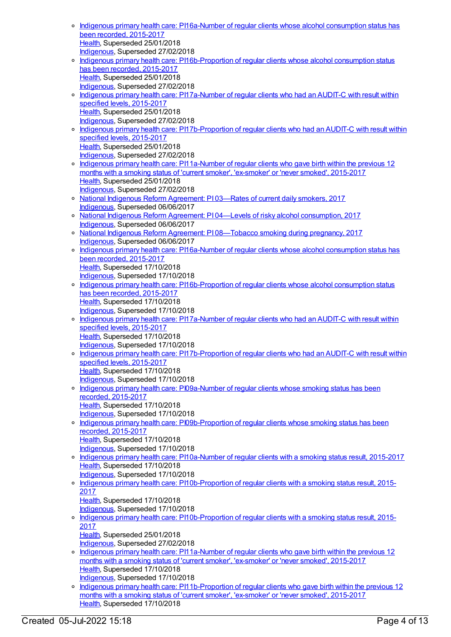- Indigenous primary health care: [PI16a-Number](https://meteor.aihw.gov.au/content/663878) of regular clients whose alcohol consumption status has been recorded, 2015-2017 [Health](https://meteor.aihw.gov.au/RegistrationAuthority/12), Superseded 25/01/2018 [Indigenous](https://meteor.aihw.gov.au/RegistrationAuthority/6), Superseded 27/02/2018
- o Indigenous primary health care: [PI16b-Proportion](https://meteor.aihw.gov.au/content/663880) of regular clients whose alcohol consumption status has been recorded, 2015-2017 [Health](https://meteor.aihw.gov.au/RegistrationAuthority/12), Superseded 25/01/2018 [Indigenous](https://meteor.aihw.gov.au/RegistrationAuthority/6), Superseded 27/02/2018
- o Indigenous primary health care: [PI17a-Number](https://meteor.aihw.gov.au/content/663963) of regular clients who had an AUDIT-C with result within specified levels, 2015-2017 [Health](https://meteor.aihw.gov.au/RegistrationAuthority/12), Superseded 25/01/2018 [Indigenous](https://meteor.aihw.gov.au/RegistrationAuthority/6), Superseded 27/02/2018
- o Indigenous primary health care: [PI17b-Proportion](https://meteor.aihw.gov.au/content/663965) of regular clients who had an AUDIT-C with result within specified levels, 2015-2017 [Health](https://meteor.aihw.gov.au/RegistrationAuthority/12), Superseded 25/01/2018 [Indigenous](https://meteor.aihw.gov.au/RegistrationAuthority/6), Superseded 27/02/2018
- o Indigenous primary health care: [PI11a-Number](https://meteor.aihw.gov.au/content/663874) of regular clients who gave birth within the previous 12 months with a smoking status of 'current smoker', 'ex-smoker' or 'never smoked', 2015-2017 [Health](https://meteor.aihw.gov.au/RegistrationAuthority/12), Superseded 25/01/2018 [Indigenous](https://meteor.aihw.gov.au/RegistrationAuthority/6), Superseded 27/02/2018
- National Indigenous Reform [Agreement:](https://meteor.aihw.gov.au/content/645387) PI 03—Rates of current daily smokers, 2017 [Indigenous](https://meteor.aihw.gov.au/RegistrationAuthority/6), Superseded 06/06/2017
- o National Indigenous Reform Agreement: PI 04—Levels of risky alcohol [consumption,](https://meteor.aihw.gov.au/content/645389) 2017 [Indigenous](https://meteor.aihw.gov.au/RegistrationAuthority/6), Superseded 06/06/2017
- o National Indigenous Reform Agreement: PI 08-Tobacco smoking during pregnancy, 2017 [Indigenous](https://meteor.aihw.gov.au/RegistrationAuthority/6), Superseded 06/06/2017
- Indigenous primary health care: [PI16a-Number](https://meteor.aihw.gov.au/content/686354) of regular clients whose alcohol consumption status has been recorded, 2015-2017 [Health](https://meteor.aihw.gov.au/RegistrationAuthority/12), Superseded 17/10/2018 [Indigenous](https://meteor.aihw.gov.au/RegistrationAuthority/6), Superseded 17/10/2018 Indigenous primary health care: [PI16b-Proportion](https://meteor.aihw.gov.au/content/686399) of regular clients whose alcohol consumption status
- has been recorded, 2015-2017 [Health](https://meteor.aihw.gov.au/RegistrationAuthority/12), Superseded 17/10/2018 [Indigenous](https://meteor.aihw.gov.au/RegistrationAuthority/6), Superseded 17/10/2018
- Indigenous primary health care: [PI17a-Number](https://meteor.aihw.gov.au/content/686358) of regular clients who had an AUDIT-C with result within specified levels, 2015-2017 [Health](https://meteor.aihw.gov.au/RegistrationAuthority/12), Superseded 17/10/2018 [Indigenous](https://meteor.aihw.gov.au/RegistrationAuthority/6), Superseded 17/10/2018
- o Indigenous primary health care: [PI17b-Proportion](https://meteor.aihw.gov.au/content/686360) of regular clients who had an AUDIT-C with result within specified levels, 2015-2017 [Health](https://meteor.aihw.gov.au/RegistrationAuthority/12), Superseded 17/10/2018 [Indigenous](https://meteor.aihw.gov.au/RegistrationAuthority/6), Superseded 17/10/2018
- o Indigenous primary health care: [PI09a-Number](https://meteor.aihw.gov.au/content/686447) of regular clients whose smoking status has been recorded, 2015-2017 [Health](https://meteor.aihw.gov.au/RegistrationAuthority/12), Superseded 17/10/2018 [Indigenous](https://meteor.aihw.gov.au/RegistrationAuthority/6), Superseded 17/10/2018
- o Indigenous primary health care: [PI09b-Proportion](https://meteor.aihw.gov.au/content/686451) of regular clients whose smoking status has been recorded, 2015-2017 [Health](https://meteor.aihw.gov.au/RegistrationAuthority/12), Superseded 17/10/2018
- [Indigenous](https://meteor.aihw.gov.au/RegistrationAuthority/6), Superseded 17/10/2018
- Indigenous primary health care: [PI10a-Number](https://meteor.aihw.gov.au/content/686454) of regular clients with a smoking status result, 2015-2017 [Health](https://meteor.aihw.gov.au/RegistrationAuthority/12), Superseded 17/10/2018 [Indigenous](https://meteor.aihw.gov.au/RegistrationAuthority/6), Superseded 17/10/2018
- o Indigenous primary health care: [PI10b-Proportion](https://meteor.aihw.gov.au/content/686456) of regular clients with a smoking status result, 2015-2017
	- [Health](https://meteor.aihw.gov.au/RegistrationAuthority/12), Superseded 17/10/2018
	- [Indigenous](https://meteor.aihw.gov.au/RegistrationAuthority/6), Superseded 17/10/2018
- <sup>o</sup> Indigenous primary health care: [PI10b-Proportion](https://meteor.aihw.gov.au/content/663872) of regular clients with a smoking status result, 2015-2017 [Health](https://meteor.aihw.gov.au/RegistrationAuthority/12), Superseded 25/01/2018
	- [Indigenous](https://meteor.aihw.gov.au/RegistrationAuthority/6), Superseded 27/02/2018
- o Indigenous primary health care: [PI11a-Number](https://meteor.aihw.gov.au/content/686460) of regular clients who gave birth within the previous 12 months with a smoking status of 'current smoker', 'ex-smoker' or 'never smoked', 2015-2017 [Health](https://meteor.aihw.gov.au/RegistrationAuthority/12), Superseded 17/10/2018 [Indigenous](https://meteor.aihw.gov.au/RegistrationAuthority/6), Superseded 17/10/2018
- o Indigenous primary health care: [PI11b-Proportion](https://meteor.aihw.gov.au/content/686465) of regular clients who gave birth within the previous 12 months with a smoking status of 'current smoker', 'ex-smoker' or 'never smoked', 2015-2017 [Health](https://meteor.aihw.gov.au/RegistrationAuthority/12), Superseded 17/10/2018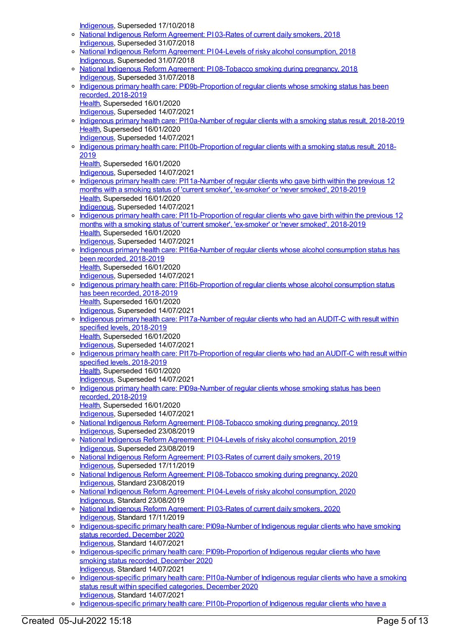[Indigenous](https://meteor.aihw.gov.au/RegistrationAuthority/6), Superseded 17/10/2018

- o National Indigenous Reform [Agreement:](https://meteor.aihw.gov.au/content/668668) PI 03-Rates of current daily smokers, 2018 [Indigenous](https://meteor.aihw.gov.au/RegistrationAuthority/6), Superseded 31/07/2018
- o National Indigenous Reform Agreement: PI 04-Levels of risky alcohol [consumption,](https://meteor.aihw.gov.au/content/668670) 2018 [Indigenous](https://meteor.aihw.gov.au/RegistrationAuthority/6), Superseded 31/07/2018
- o National Indigenous Reform Agreement: PI [08-Tobacco](https://meteor.aihw.gov.au/content/668672) smoking during pregnancy, 2018 [Indigenous](https://meteor.aihw.gov.au/RegistrationAuthority/6), Superseded 31/07/2018
- o Indigenous primary health care: [PI09b-Proportion](https://meteor.aihw.gov.au/content/687959) of regular clients whose smoking status has been recorded, 2018-2019 [Health](https://meteor.aihw.gov.au/RegistrationAuthority/12), Superseded 16/01/2020
	- [Indigenous](https://meteor.aihw.gov.au/RegistrationAuthority/6), Superseded 14/07/2021
- o Indigenous primary health care: [PI10a-Number](https://meteor.aihw.gov.au/content/687961) of regular clients with a smoking status result, 2018-2019 [Health](https://meteor.aihw.gov.au/RegistrationAuthority/12), Superseded 16/01/2020 [Indigenous](https://meteor.aihw.gov.au/RegistrationAuthority/6), Superseded 14/07/2021
- o Indigenous primary health care: [PI10b-Proportion](https://meteor.aihw.gov.au/content/687963) of regular clients with a smoking status result, 2018-2019
	- [Health](https://meteor.aihw.gov.au/RegistrationAuthority/12), Superseded 16/01/2020
- [Indigenous](https://meteor.aihw.gov.au/RegistrationAuthority/6), Superseded 14/07/2021 <sup>o</sup> Indigenous primary health care: [PI11a-Number](https://meteor.aihw.gov.au/content/687966) of regular clients who gave birth within the previous 12 months with a smoking status of 'current smoker', 'ex-smoker' or 'never smoked', 2018-2019 [Health](https://meteor.aihw.gov.au/RegistrationAuthority/12), Superseded 16/01/2020
	- [Indigenous](https://meteor.aihw.gov.au/RegistrationAuthority/6), Superseded 14/07/2021
- o Indigenous primary health care: [PI11b-Proportion](https://meteor.aihw.gov.au/content/687968) of regular clients who gave birth within the previous 12 months with a smoking status of 'current smoker', 'ex-smoker' or 'never smoked', 2018-2019 [Health](https://meteor.aihw.gov.au/RegistrationAuthority/12), Superseded 16/01/2020 [Indigenous](https://meteor.aihw.gov.au/RegistrationAuthority/6), Superseded 14/07/2021
- Indigenous primary health care: [PI16a-Number](https://meteor.aihw.gov.au/content/687988) of regular clients whose alcohol consumption status has been recorded, 2018-2019 [Health](https://meteor.aihw.gov.au/RegistrationAuthority/12), Superseded 16/01/2020 [Indigenous](https://meteor.aihw.gov.au/RegistrationAuthority/6), Superseded 14/07/2021
- Indigenous primary health care: [PI16b-Proportion](https://meteor.aihw.gov.au/content/687990) of regular clients whose alcohol consumption status has been recorded, 2018-2019 [Health](https://meteor.aihw.gov.au/RegistrationAuthority/12), Superseded 16/01/2020
	- [Indigenous](https://meteor.aihw.gov.au/RegistrationAuthority/6), Superseded 14/07/2021
- Indigenous primary health care: [PI17a-Number](https://meteor.aihw.gov.au/content/687992) of regular clients who had an AUDIT-C with result within specified levels, 2018-2019 [Health](https://meteor.aihw.gov.au/RegistrationAuthority/12), Superseded 16/01/2020
	- [Indigenous](https://meteor.aihw.gov.au/RegistrationAuthority/6), Superseded 14/07/2021
- o Indigenous primary health care: [PI17b-Proportion](https://meteor.aihw.gov.au/content/687994) of regular clients who had an AUDIT-C with result within specified levels, 2018-2019 [Health](https://meteor.aihw.gov.au/RegistrationAuthority/12), Superseded 16/01/2020 [Indigenous](https://meteor.aihw.gov.au/RegistrationAuthority/6), Superseded 14/07/2021
- o Indigenous primary health care: [PI09a-Number](https://meteor.aihw.gov.au/content/687957) of regular clients whose smoking status has been recorded, 2018-2019 [Health](https://meteor.aihw.gov.au/RegistrationAuthority/12), Superseded 16/01/2020
- [Indigenous](https://meteor.aihw.gov.au/RegistrationAuthority/6), Superseded 14/07/2021 o National Indigenous Reform Agreement: PI [08-Tobacco](https://meteor.aihw.gov.au/content/699456) smoking during pregnancy, 2019 [Indigenous](https://meteor.aihw.gov.au/RegistrationAuthority/6), Superseded 23/08/2019
- o National Indigenous Reform Agreement: PI 04-Levels of risky alcohol [consumption,](https://meteor.aihw.gov.au/content/697285) 2019 [Indigenous](https://meteor.aihw.gov.au/RegistrationAuthority/6), Superseded 23/08/2019
- National Indigenous Reform [Agreement:](https://meteor.aihw.gov.au/content/697098) PI 03-Rates of current daily smokers, 2019 [Indigenous](https://meteor.aihw.gov.au/RegistrationAuthority/6), Superseded 17/11/2019
- o National Indigenous Reform Agreement: PI [08-Tobacco](https://meteor.aihw.gov.au/content/718486) smoking during pregnancy, 2020 [Indigenous](https://meteor.aihw.gov.au/RegistrationAuthority/6), Standard 23/08/2019
- o National Indigenous Reform Agreement: PI 04-Levels of risky alcohol [consumption,](https://meteor.aihw.gov.au/content/718478) 2020 [Indigenous](https://meteor.aihw.gov.au/RegistrationAuthority/6), Standard 23/08/2019
- o National Indigenous Reform [Agreement:](https://meteor.aihw.gov.au/content/718475) PI 03-Rates of current daily smokers, 2020 [Indigenous](https://meteor.aihw.gov.au/RegistrationAuthority/6), Standard 17/11/2019
- [Indigenous-specific](https://meteor.aihw.gov.au/content/739361) primary health care: PI09a-Number of Indigenous regular clients who have smoking status recorded, December 2020 [Indigenous](https://meteor.aihw.gov.au/RegistrationAuthority/6), Standard 14/07/2021
- o [Indigenous-specific](https://meteor.aihw.gov.au/content/739363) primary health care: PI09b-Proportion of Indigenous regular clients who have smoking status recorded, December 2020 [Indigenous](https://meteor.aihw.gov.au/RegistrationAuthority/6), Standard 14/07/2021
- o [Indigenous-specific](https://meteor.aihw.gov.au/content/739370) primary health care: PI10a-Number of Indigenous regular clients who have a smoking status result within specified categories, December 2020 [Indigenous](https://meteor.aihw.gov.au/RegistrationAuthority/6), Standard 14/07/2021
- o [Indigenous-specific](https://meteor.aihw.gov.au/content/739372) primary health care: PI10b-Proportion of Indigenous regular clients who have a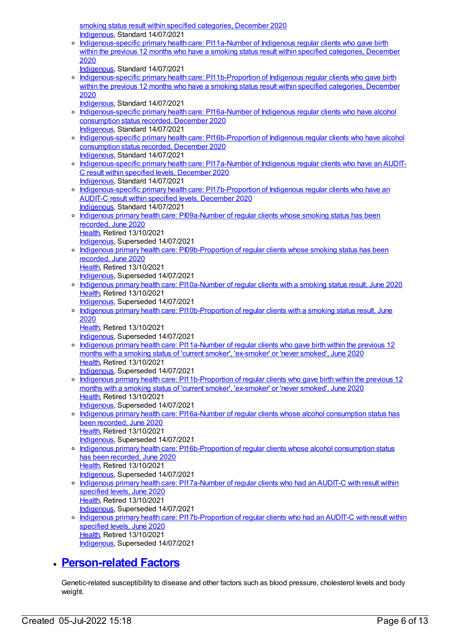smoking status result within specified categories, December 2020 [Indigenous](https://meteor.aihw.gov.au/RegistrationAuthority/6), Standard 14/07/2021

o [Indigenous-specific](https://meteor.aihw.gov.au/content/739375) primary health care: PI11a-Number of Indigenous regular clients who gave birth within the previous 12 months who have a smoking status result within specified categories, December 2020

[Indigenous](https://meteor.aihw.gov.au/RegistrationAuthority/6), Standard 14/07/2021

o [Indigenous-specific](https://meteor.aihw.gov.au/content/739380) primary health care: PI11b-Proportion of Indigenous regular clients who gave birth within the previous 12 months who have a smoking status result within specified categories, December 2020

[Indigenous](https://meteor.aihw.gov.au/RegistrationAuthority/6), Standard 14/07/2021

- o [Indigenous-specific](https://meteor.aihw.gov.au/content/739402) primary health care: PI16a-Number of Indigenous regular clients who have alcohol consumption status recorded, December 2020 [Indigenous](https://meteor.aihw.gov.au/RegistrationAuthority/6), Standard 14/07/2021
- [Indigenous-specific](https://meteor.aihw.gov.au/content/739405) primary health care: PI16b-Proportion of Indigenous regular clients who have alcohol consumption status recorded, December 2020 [Indigenous](https://meteor.aihw.gov.au/RegistrationAuthority/6), Standard 14/07/2021
- o [Indigenous-specific](https://meteor.aihw.gov.au/content/739423) primary health care: PI17a-Number of Indigenous regular clients who have an AUDIT-C result within specified levels, December 2020 [Indigenous](https://meteor.aihw.gov.au/RegistrationAuthority/6), Standard 14/07/2021
- o [Indigenous-specific](https://meteor.aihw.gov.au/content/739426) primary health care: PI17b-Proportion of Indigenous regular clients who have an AUDIT-C result within specified levels, December 2020 [Indigenous](https://meteor.aihw.gov.au/RegistrationAuthority/6), Standard 14/07/2021
- o Indigenous primary health care: [PI09a-Number](https://meteor.aihw.gov.au/content/717300) of regular clients whose smoking status has been recorded, June 2020 [Health](https://meteor.aihw.gov.au/RegistrationAuthority/12), Retired 13/10/2021
- [Indigenous](https://meteor.aihw.gov.au/RegistrationAuthority/6), Superseded 14/07/2021 o Indigenous primary health care: [PI09b-Proportion](https://meteor.aihw.gov.au/content/717302) of regular clients whose smoking status has been recorded, June 2020 [Health](https://meteor.aihw.gov.au/RegistrationAuthority/12), Retired 13/10/2021 [Indigenous](https://meteor.aihw.gov.au/RegistrationAuthority/6), Superseded 14/07/2021
- Indigenous primary health care: [PI10a-Number](https://meteor.aihw.gov.au/content/717304) of regular clients with a smoking status result, June 2020 [Health](https://meteor.aihw.gov.au/RegistrationAuthority/12), Retired 13/10/2021
- [Indigenous](https://meteor.aihw.gov.au/RegistrationAuthority/6), Superseded 14/07/2021
- o Indigenous primary health care: [PI10b-Proportion](https://meteor.aihw.gov.au/content/717306) of regular clients with a smoking status result, June 2020

[Health](https://meteor.aihw.gov.au/RegistrationAuthority/12), Retired 13/10/2021

- [Indigenous](https://meteor.aihw.gov.au/RegistrationAuthority/6), Superseded 14/07/2021
- o Indigenous primary health care: [PI11a-Number](https://meteor.aihw.gov.au/content/717308) of regular clients who gave birth within the previous 12 months with a smoking status of 'current smoker', 'ex-smoker' or 'never smoked', June 2020 [Health](https://meteor.aihw.gov.au/RegistrationAuthority/12), Retired 13/10/2021 [Indigenous](https://meteor.aihw.gov.au/RegistrationAuthority/6), Superseded 14/07/2021
- o Indigenous primary health care: [PI11b-Proportion](https://meteor.aihw.gov.au/content/717310) of regular clients who gave birth within the previous 12 months with a smoking status of 'current smoker', 'ex-smoker' or 'never smoked', June 2020 [Health](https://meteor.aihw.gov.au/RegistrationAuthority/12), Retired 13/10/2021 [Indigenous](https://meteor.aihw.gov.au/RegistrationAuthority/6), Superseded 14/07/2021
- o Indigenous primary health care: [PI16a-Number](https://meteor.aihw.gov.au/content/717330) of regular clients whose alcohol consumption status has been recorded, June 2020 [Health](https://meteor.aihw.gov.au/RegistrationAuthority/12), Retired 13/10/2021 [Indigenous](https://meteor.aihw.gov.au/RegistrationAuthority/6), Superseded 14/07/2021
- o Indigenous primary health care: [PI16b-Proportion](https://meteor.aihw.gov.au/content/717332) of regular clients whose alcohol consumption status has been recorded, June 2020 [Health](https://meteor.aihw.gov.au/RegistrationAuthority/12), Retired 13/10/2021 [Indigenous](https://meteor.aihw.gov.au/RegistrationAuthority/6), Superseded 14/07/2021
- o Indigenous primary health care: [PI17a-Number](https://meteor.aihw.gov.au/content/717334) of regular clients who had an AUDIT-C with result within specified levels, June 2020 [Health](https://meteor.aihw.gov.au/RegistrationAuthority/12), Retired 13/10/2021 [Indigenous](https://meteor.aihw.gov.au/RegistrationAuthority/6), Superseded 14/07/2021
- Indigenous primary health care: [PI17b-Proportion](https://meteor.aihw.gov.au/content/717336) of regular clients who had an AUDIT-C with result within specified levels, June 2020 [Health](https://meteor.aihw.gov.au/RegistrationAuthority/12), Retired 13/10/2021
	- [Indigenous](https://meteor.aihw.gov.au/RegistrationAuthority/6), Superseded 14/07/2021

## **[Person-related](https://meteor.aihw.gov.au/content/410678) Factors**

Genetic-related susceptibility to disease and other factors such as blood pressure, cholesterol levels and body weight.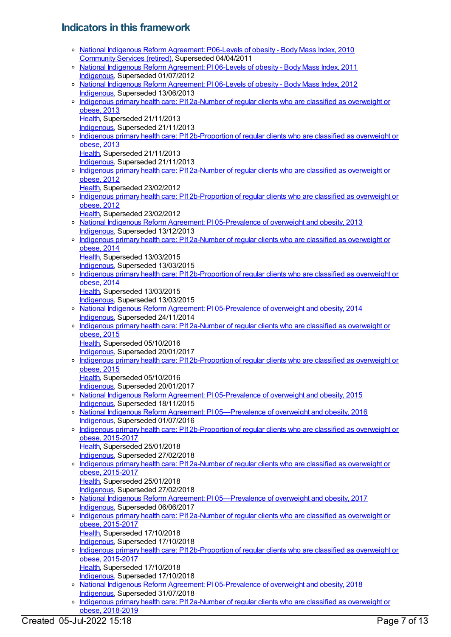# **Indicators in this framework**

|         | o National Indigenous Reform Agreement: P06-Levels of obesity - Body Mass Index, 2010                                                         |
|---------|-----------------------------------------------------------------------------------------------------------------------------------------------|
|         | Community Services (retired), Superseded 04/04/2011<br>o National Indigenous Reform Agreement: PI06-Levels of obesity - Body Mass Index, 2011 |
|         | Indigenous, Superseded 01/07/2012                                                                                                             |
|         | o National Indigenous Reform Agreement: PI06-Levels of obesity - Body Mass Index, 2012                                                        |
| $\circ$ | Indigenous, Superseded 13/06/2013<br>Indigenous primary health care: PI12a-Number of regular clients who are classified as overweight or      |
|         | obese, 2013                                                                                                                                   |
|         | Health, Superseded 21/11/2013                                                                                                                 |
|         | Indigenous, Superseded 21/11/2013                                                                                                             |
|         | o Indigenous primary health care: PI12b-Proportion of regular clients who are classified as overweight or<br>obese, 2013                      |
|         | Health, Superseded 21/11/2013                                                                                                                 |
|         | Indigenous, Superseded 21/11/2013                                                                                                             |
| $\circ$ | Indigenous primary health care: PI12a-Number of regular clients who are classified as overweight or<br>obese, 2012                            |
|         | Health, Superseded 23/02/2012                                                                                                                 |
|         | o Indigenous primary health care: PI12b-Proportion of regular clients who are classified as overweight or                                     |
|         | obese, 2012                                                                                                                                   |
|         | Health, Superseded 23/02/2012<br>o National Indigenous Reform Agreement: PI05-Prevalence of overweight and obesity, 2013                      |
|         | Indigenous, Superseded 13/12/2013                                                                                                             |
| $\circ$ | Indigenous primary health care: PI12a-Number of regular clients who are classified as overweight or                                           |
|         | obese, 2014<br>Health, Superseded 13/03/2015                                                                                                  |
|         | Indigenous, Superseded 13/03/2015                                                                                                             |
| $\circ$ | Indigenous primary health care: PI12b-Proportion of regular clients who are classified as overweight or                                       |
|         | obese, 2014                                                                                                                                   |
|         | Health, Superseded 13/03/2015<br>Indigenous, Superseded 13/03/2015                                                                            |
|         | o National Indigenous Reform Agreement: PI05-Prevalence of overweight and obesity, 2014                                                       |
|         | Indigenous, Superseded 24/11/2014                                                                                                             |
| $\circ$ | Indigenous primary health care: PI12a-Number of regular clients who are classified as overweight or<br>obese, 2015                            |
|         | Health, Superseded 05/10/2016                                                                                                                 |
|         | Indigenous, Superseded 20/01/2017                                                                                                             |
|         |                                                                                                                                               |
| $\circ$ | Indigenous primary health care: PI12b-Proportion of regular clients who are classified as overweight or                                       |
|         | obese, 2015<br>Health, Superseded 05/10/2016                                                                                                  |
|         | Indigenous, Superseded 20/01/2017                                                                                                             |
|         | <sup>o</sup> National Indigenous Reform Agreement: PI 05-Prevalence of overweight and obesity, 2015                                           |
|         | Indigenous, Superseded 18/11/2015                                                                                                             |
|         | o National Indigenous Reform Agreement: PI05—Prevalence of overweight and obesity, 2016<br>Indigenous, Superseded 01/07/2016                  |
| $\circ$ | Indigenous primary health care: PI12b-Proportion of regular clients who are classified as overweight or                                       |
|         | obese, 2015-2017                                                                                                                              |
|         | Health, Superseded 25/01/2018<br>Indigenous, Superseded 27/02/2018                                                                            |
| $\circ$ | Indigenous primary health care: PI12a-Number of regular clients who are classified as overweight or                                           |
|         | obese, 2015-2017                                                                                                                              |
|         | Health, Superseded 25/01/2018                                                                                                                 |
|         | Indigenous, Superseded 27/02/2018<br>o National Indigenous Reform Agreement: PI05-Prevalence of overweight and obesity, 2017                  |
|         | Indigenous, Superseded 06/06/2017                                                                                                             |
| $\circ$ | Indigenous primary health care: PI12a-Number of regular clients who are classified as overweight or                                           |
|         | obese, 2015-2017<br>Health, Superseded 17/10/2018                                                                                             |
|         | Indigenous, Superseded 17/10/2018                                                                                                             |
| $\circ$ | Indigenous primary health care: PI12b-Proportion of regular clients who are classified as overweight or                                       |
|         | obese, 2015-2017<br>Health, Superseded 17/10/2018                                                                                             |
|         | Indigenous, Superseded 17/10/2018                                                                                                             |
| $\circ$ | National Indigenous Reform Agreement: PI05-Prevalence of overweight and obesity, 2018<br>Indigenous, Superseded 31/07/2018                    |

Indigenous primary health care: [PI12a-Number](https://meteor.aihw.gov.au/content/687970) of regular clients who are classified as overweight or obese, 2018-2019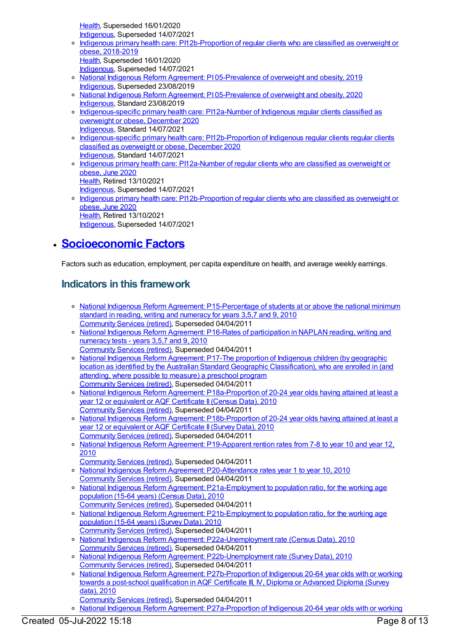[Health](https://meteor.aihw.gov.au/RegistrationAuthority/12), Superseded 16/01/2020 [Indigenous](https://meteor.aihw.gov.au/RegistrationAuthority/6), Superseded 14/07/2021

- Indigenous primary health care: [PI12b-Proportion](https://meteor.aihw.gov.au/content/687972) of regular clients who are classified as overweight or obese, 2018-2019 [Health](https://meteor.aihw.gov.au/RegistrationAuthority/12), Superseded 16/01/2020 [Indigenous](https://meteor.aihw.gov.au/RegistrationAuthority/6), Superseded 14/07/2021
- o National Indigenous Reform Agreement: PI [05-Prevalence](https://meteor.aihw.gov.au/content/697289) of overweight and obesity, 2019 [Indigenous](https://meteor.aihw.gov.au/RegistrationAuthority/6), Superseded 23/08/2019
- o National Indigenous Reform Agreement: PI [05-Prevalence](https://meteor.aihw.gov.au/content/718480) of overweight and obesity, 2020 [Indigenous](https://meteor.aihw.gov.au/RegistrationAuthority/6), Standard 23/08/2019
- o [Indigenous-specific](https://meteor.aihw.gov.au/content/739384) primary health care: PI12a-Number of Indigenous regular clients classified as overweight or obese, December 2020 [Indigenous](https://meteor.aihw.gov.au/RegistrationAuthority/6), Standard 14/07/2021
- [Indigenous-specific](https://meteor.aihw.gov.au/content/739386) primary health care: PI12b-Proportion of Indigenous regular clients regular clients classified as overweight or obese, December 2020 [Indigenous](https://meteor.aihw.gov.au/RegistrationAuthority/6), Standard 14/07/2021
- Indigenous primary health care: [PI12a-Number](https://meteor.aihw.gov.au/content/717312) of regular clients who are classified as overweight or obese, June 2020 [Health](https://meteor.aihw.gov.au/RegistrationAuthority/12), Retired 13/10/2021
- [Indigenous](https://meteor.aihw.gov.au/RegistrationAuthority/6), Superseded 14/07/2021 o Indigenous primary health care: [PI12b-Proportion](https://meteor.aihw.gov.au/content/717314) of regular clients who are classified as overweight or
- obese, June 2020 [Health](https://meteor.aihw.gov.au/RegistrationAuthority/12), Retired 13/10/2021 [Indigenous](https://meteor.aihw.gov.au/RegistrationAuthority/6), Superseded 14/07/2021

# **[Socioeconomic](https://meteor.aihw.gov.au/content/410674) Factors**

Factors such as education, employment, per capita expenditure on health, and average weekly earnings.

# **Indicators in this framework**

- o National Indigenous Reform Agreement: [P15-Percentage](https://meteor.aihw.gov.au/content/396578) of students at or above the national minimum standard in reading, writing and numeracy for years 3,5,7 and 9, 2010 [Community](https://meteor.aihw.gov.au/RegistrationAuthority/1) Services (retired), Superseded 04/04/2011
- National Indigenous Reform Agreement: P16-Rates of [participation](https://meteor.aihw.gov.au/content/396594) in NAPLAN reading, writing and numeracy tests - years 3,5,7 and 9, 2010
- [Community](https://meteor.aihw.gov.au/RegistrationAuthority/1) Services (retired), Superseded 04/04/2011 o National Indigenous Reform Agreement: P17-The proportion of Indigenous children (by geographic location as identified by the Australian Standard Geographic [Classification\),](https://meteor.aihw.gov.au/content/396598) who are enrolled in (and attending, where possible to measure) a preschool program [Community](https://meteor.aihw.gov.au/RegistrationAuthority/1) Services (retired), Superseded 04/04/2011
- o National Indigenous Reform Agreement: [P18a-Proportion](https://meteor.aihw.gov.au/content/396604) of 20-24 year olds having attained at least a year 12 or equivalent or AQF Certificate II(Census Data), 2010 [Community](https://meteor.aihw.gov.au/RegistrationAuthority/1) Services (retired), Superseded 04/04/2011
- National Indigenous Reform Agreement: [P18b-Proportion](https://meteor.aihw.gov.au/content/396896) of 20-24 year olds having attained at least a year 12 or equivalent or AQF Certificate II (Survey Data), 2010 [Community](https://meteor.aihw.gov.au/RegistrationAuthority/1) Services (retired), Superseded 04/04/2011
- o National Indigenous Reform Agreement: [P19-Apparent](https://meteor.aihw.gov.au/content/396609) rention rates from 7-8 to year 10 and year 12, 2010
- [Community](https://meteor.aihw.gov.au/RegistrationAuthority/1) Services (retired), Superseded 04/04/2011
- National Indigenous Reform Agreement: [P20-Attendance](https://meteor.aihw.gov.au/content/396617) rates year 1 to year 10, 2010 [Community](https://meteor.aihw.gov.au/RegistrationAuthority/1) Services (retired), Superseded 04/04/2011
- o National Indigenous Reform Agreement: [P21a-Employment](https://meteor.aihw.gov.au/content/396621) to population ratio, for the working age population (15-64 years) (Census Data), 2010 [Community](https://meteor.aihw.gov.au/RegistrationAuthority/1) Services (retired), Superseded 04/04/2011
- National Indigenous Reform Agreement: [P21b-Employment](https://meteor.aihw.gov.au/content/396902) to population ratio, for the working age population (15-64 years) (Survey Data), 2010
- [Community](https://meteor.aihw.gov.au/RegistrationAuthority/1) Services (retired), Superseded 04/04/2011 National Indigenous Reform Agreement: [P22a-Unemployment](https://meteor.aihw.gov.au/content/396630) rate (Census Data), 2010
- [Community](https://meteor.aihw.gov.au/RegistrationAuthority/1) Services (retired), Superseded 04/04/2011 o National Indigenous Reform Agreement: [P22b-Unemployment](https://meteor.aihw.gov.au/content/396905) rate (Survey Data), 2010 [Community](https://meteor.aihw.gov.au/RegistrationAuthority/1) Services (retired), Superseded 04/04/2011
- o National Indigenous Reform Agreement: [P27b-Proportion](https://meteor.aihw.gov.au/content/396918) of Indigenous 20-64 year olds with or working towards a post-school qualification in AQF Certificate III, IV, Diploma or Advanced Diploma (Survey data), 2010
- [Community](https://meteor.aihw.gov.au/RegistrationAuthority/1) Services (retired), Superseded 04/04/2011
- o National Indigenous Reform Agreement: P27a-Proportion of Indigenous 20-64 year olds with or working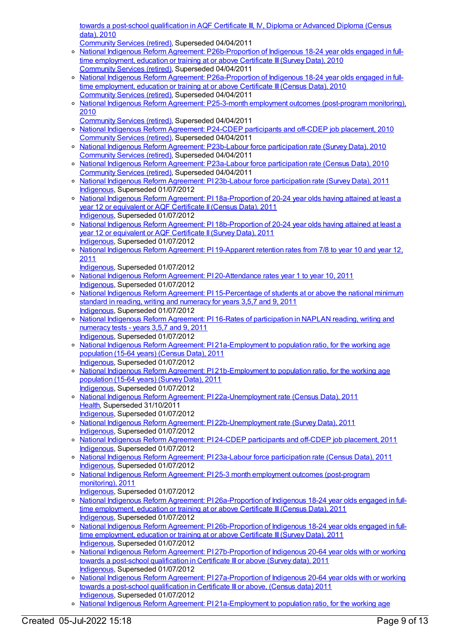towards a post-school [qualification](https://meteor.aihw.gov.au/content/396658) in AQF Certificate III, IV, Diploma or Advanced Diploma (Census data), 2010

[Community](https://meteor.aihw.gov.au/RegistrationAuthority/1) Services (retired), Superseded 04/04/2011

- o National Indigenous Reform Agreement: [P26b-Proportion](https://meteor.aihw.gov.au/content/396915) of Indigenous 18-24 year olds engaged in fulltime employment, education or training at or above Certificate III (Survey Data), 2010 [Community](https://meteor.aihw.gov.au/RegistrationAuthority/1) Services (retired), Superseded 04/04/2011
- o National Indigenous Reform Agreement: [P26a-Proportion](https://meteor.aihw.gov.au/content/396647) of Indigenous 18-24 year olds engaged in fulltime employment, education or training at or above Certificate III (Census Data), 2010 [Community](https://meteor.aihw.gov.au/RegistrationAuthority/1) Services (retired), Superseded 04/04/2011
- National Indigenous Reform Agreement: P25-3-month employment outcomes [\(post-program](https://meteor.aihw.gov.au/content/396640) monitoring), 2010
	- [Community](https://meteor.aihw.gov.au/RegistrationAuthority/1) Services (retired), Superseded 04/04/2011
- o National Indigenous Reform [Agreement:](https://meteor.aihw.gov.au/content/396637) P24-CDEP participants and off-CDEP job placement, 2010 [Community](https://meteor.aihw.gov.au/RegistrationAuthority/1) Services (retired), Superseded 04/04/2011
- o National Indigenous Reform Agreement: [P23b-Labour](https://meteor.aihw.gov.au/content/396912) force participation rate (Survey Data), 2010 [Community](https://meteor.aihw.gov.au/RegistrationAuthority/1) Services (retired), Superseded 04/04/2011
- o National Indigenous Reform Agreement: [P23a-Labour](https://meteor.aihw.gov.au/content/396632) force participation rate (Census Data), 2010 [Community](https://meteor.aihw.gov.au/RegistrationAuthority/1) Services (retired), Superseded 04/04/2011
- o National Indigenous Reform Agreement: PI 23b-Labour force [participation](https://meteor.aihw.gov.au/content/425803) rate (Survey Data), 2011 [Indigenous](https://meteor.aihw.gov.au/RegistrationAuthority/6), Superseded 01/07/2012
- o National Indigenous Reform Agreement: PI [18a-Proportion](https://meteor.aihw.gov.au/content/425785) of 20-24 year olds having attained at least a year 12 or equivalent or AQF Certificate II(Census Data), 2011 [Indigenous](https://meteor.aihw.gov.au/RegistrationAuthority/6), Superseded 01/07/2012
- o National Indigenous Reform Agreement: PI [18b-Proportion](https://meteor.aihw.gov.au/content/425787) of 20-24 year olds having attained at least a year 12 or equivalent or AQF Certificate II (Survey Data), 2011 [Indigenous](https://meteor.aihw.gov.au/RegistrationAuthority/6), Superseded 01/07/2012
- o National Indigenous Reform Agreement: PI [19-Apparent](https://meteor.aihw.gov.au/content/425789) retention rates from 7/8 to year 10 and year 12, 2011
- [Indigenous](https://meteor.aihw.gov.au/RegistrationAuthority/6), Superseded 01/07/2012
- o National Indigenous Reform Agreement: PI [20-Attendance](https://meteor.aihw.gov.au/content/425791) rates year 1 to year 10, 2011 [Indigenous](https://meteor.aihw.gov.au/RegistrationAuthority/6), Superseded 01/07/2012
- o National Indigenous Reform Agreement: PI [15-Percentage](https://meteor.aihw.gov.au/content/425777) of students at or above the national minimum standard in reading, writing and numeracy for years 3,5,7 and 9, 2011 [Indigenous](https://meteor.aihw.gov.au/RegistrationAuthority/6), Superseded 01/07/2012
- o National Indigenous Reform Agreement: PI 16-Rates of [participation](https://meteor.aihw.gov.au/content/425781) in NAPLAN reading, writing and numeracy tests - years 3,5,7 and 9, 2011 [Indigenous](https://meteor.aihw.gov.au/RegistrationAuthority/6), Superseded 01/07/2012
- o National Indigenous Reform Agreement: PI [21a-Employment](https://meteor.aihw.gov.au/content/425793) to population ratio, for the working age population (15-64 years) (Census Data), 2011 [Indigenous](https://meteor.aihw.gov.au/RegistrationAuthority/6), Superseded 01/07/2012
- National Indigenous Reform Agreement: PI [21b-Employment](https://meteor.aihw.gov.au/content/425795) to population ratio, for the working age population (15-64 years) (Survey Data), 2011 [Indigenous](https://meteor.aihw.gov.au/RegistrationAuthority/6), Superseded 01/07/2012
- o National Indigenous Reform Agreement: PI [22a-Unemployment](https://meteor.aihw.gov.au/content/425797) rate (Census Data), 2011 [Health](https://meteor.aihw.gov.au/RegistrationAuthority/12), Superseded 31/10/2011
- [Indigenous](https://meteor.aihw.gov.au/RegistrationAuthority/6), Superseded 01/07/2012
- o National Indigenous Reform Agreement: PI [22b-Unemployment](https://meteor.aihw.gov.au/content/425799) rate (Survey Data), 2011 [Indigenous](https://meteor.aihw.gov.au/RegistrationAuthority/6), Superseded 01/07/2012
- o National Indigenous Reform [Agreement:](https://meteor.aihw.gov.au/content/425805) PI 24-CDEP participants and off-CDEP job placement, 2011 [Indigenous](https://meteor.aihw.gov.au/RegistrationAuthority/6), Superseded 01/07/2012
- National Indigenous Reform Agreement: PI 23a-Labour force [participation](https://meteor.aihw.gov.au/content/425801) rate (Census Data), 2011 [Indigenous](https://meteor.aihw.gov.au/RegistrationAuthority/6), Superseded 01/07/2012
- o National Indigenous Reform Agreement: PI 25-3 month employment outcomes [\(post-program](https://meteor.aihw.gov.au/content/425807) monitoring), 2011
- [Indigenous](https://meteor.aihw.gov.au/RegistrationAuthority/6), Superseded 01/07/2012
- o National Indigenous Reform Agreement: PI [26a-Proportion](https://meteor.aihw.gov.au/content/425809) of Indigenous 18-24 year olds engaged in fulltime employment, education or training at or above Certificate III (Census Data), 2011 [Indigenous](https://meteor.aihw.gov.au/RegistrationAuthority/6), Superseded 01/07/2012
- o National Indigenous Reform Agreement: PI [26b-Proportion](https://meteor.aihw.gov.au/content/425811) of Indigenous 18-24 year olds engaged in fulltime employment, education or training at or above Certificate III(Survey Data), 2011 [Indigenous](https://meteor.aihw.gov.au/RegistrationAuthority/6), Superseded 01/07/2012
- National Indigenous Reform Agreement: PI [27b-Proportion](https://meteor.aihw.gov.au/content/425815) of Indigenous 20-64 year olds with or working towards a post-school qualification in Certificate III or above (Survey data), 2011 [Indigenous](https://meteor.aihw.gov.au/RegistrationAuthority/6), Superseded 01/07/2012
- o National Indigenous Reform Agreement: PI [27a-Proportion](https://meteor.aihw.gov.au/content/425813) of Indigenous 20-64 year olds with or working towards a post-school qualification in Certificate III or above, (Census data) 2011 [Indigenous](https://meteor.aihw.gov.au/RegistrationAuthority/6), Superseded 01/07/2012
- o National Indigenous Reform Agreement: PI [21a-Employment](https://meteor.aihw.gov.au/content/438695) to population ratio, for the working age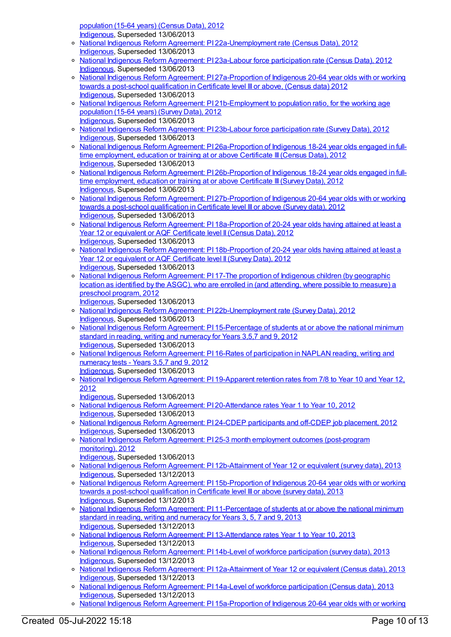population (15-64 years) (Census Data), 2012 [Indigenous](https://meteor.aihw.gov.au/RegistrationAuthority/6), Superseded 13/06/2013

- National Indigenous Reform Agreement: PI [22a-Unemployment](https://meteor.aihw.gov.au/content/438703) rate (Census Data), 2012 [Indigenous](https://meteor.aihw.gov.au/RegistrationAuthority/6), Superseded 13/06/2013
- o National Indigenous Reform Agreement: PI 23a-Labour force [participation](https://meteor.aihw.gov.au/content/438716) rate (Census Data), 2012 [Indigenous](https://meteor.aihw.gov.au/RegistrationAuthority/6), Superseded 13/06/2013
- o National Indigenous Reform Agreement: PI [27a-Proportion](https://meteor.aihw.gov.au/content/438744) of Indigenous 20-64 year olds with or working towards a post-school qualification in Certificate level III or above, (Census data) 2012 [Indigenous](https://meteor.aihw.gov.au/RegistrationAuthority/6), Superseded 13/06/2013
- o National Indigenous Reform Agreement: PI [21b-Employment](https://meteor.aihw.gov.au/content/438700) to population ratio, for the working age population (15-64 years) (Survey Data), 2012 [Indigenous](https://meteor.aihw.gov.au/RegistrationAuthority/6), Superseded 13/06/2013
- o National Indigenous Reform Agreement: PI 23b-Labour force [participation](https://meteor.aihw.gov.au/content/438718) rate (Survey Data), 2012 [Indigenous](https://meteor.aihw.gov.au/RegistrationAuthority/6), Superseded 13/06/2013
- o National Indigenous Reform Agreement: PI [26a-Proportion](https://meteor.aihw.gov.au/content/438735) of Indigenous 18-24 year olds engaged in fulltime employment, education or training at or above Certificate III(Census Data), 2012 [Indigenous](https://meteor.aihw.gov.au/RegistrationAuthority/6), Superseded 13/06/2013
- o National Indigenous Reform Agreement: PI [26b-Proportion](https://meteor.aihw.gov.au/content/438740) of Indigenous 18-24 year olds engaged in fulltime employment, education or training at or above Certificate III (Survey Data), 2012 [Indigenous](https://meteor.aihw.gov.au/RegistrationAuthority/6), Superseded 13/06/2013
- National Indigenous Reform Agreement: PI [27b-Proportion](https://meteor.aihw.gov.au/content/438747) of Indigenous 20-64 year olds with or working towards a post-school qualification in Certificate level III or above (Survey data), 2012 [Indigenous](https://meteor.aihw.gov.au/RegistrationAuthority/6), Superseded 13/06/2013
- o National Indigenous Reform Agreement: PI [18a-Proportion](https://meteor.aihw.gov.au/content/438667) of 20-24 year olds having attained at least a Year 12 or equivalent or AQF Certificate level II (Census Data), 2012 [Indigenous](https://meteor.aihw.gov.au/RegistrationAuthority/6), Superseded 13/06/2013
- o National Indigenous Reform Agreement: PI [18b-Proportion](https://meteor.aihw.gov.au/content/438675) of 20-24 year olds having attained at least a Year 12 or equivalent or AQF Certificate level II (Survey Data), 2012 [Indigenous](https://meteor.aihw.gov.au/RegistrationAuthority/6), Superseded 13/06/2013
- National Indigenous Reform [Agreement:](https://meteor.aihw.gov.au/content/438664) PI 17-The proportion of Indigenous children (by geographic location as identified by the ASGC), who are enrolled in (and attending, where possible to measure) a preschool program, 2012
- [Indigenous](https://meteor.aihw.gov.au/RegistrationAuthority/6), Superseded 13/06/2013
- o National Indigenous Reform Agreement: PI [22b-Unemployment](https://meteor.aihw.gov.au/content/438709) rate (Survey Data), 2012 [Indigenous](https://meteor.aihw.gov.au/RegistrationAuthority/6), Superseded 13/06/2013
- National Indigenous Reform Agreement: PI [15-Percentage](https://meteor.aihw.gov.au/content/438652) of students at or above the national minimum standard in reading, writing and numeracy for Years 3,5,7 and 9, 2012 [Indigenous](https://meteor.aihw.gov.au/RegistrationAuthority/6), Superseded 13/06/2013
- o National Indigenous Reform Agreement: PI 16-Rates of [participation](https://meteor.aihw.gov.au/content/438661) in NAPLAN reading, writing and numeracy tests - Years 3,5,7 and 9, 2012 [Indigenous](https://meteor.aihw.gov.au/RegistrationAuthority/6), Superseded 13/06/2013
- o National Indigenous Reform Agreement: PI [19-Apparent](https://meteor.aihw.gov.au/content/438684) retention rates from 7/8 to Year 10 and Year 12, 2012

[Indigenous](https://meteor.aihw.gov.au/RegistrationAuthority/6), Superseded 13/06/2013

- o National Indigenous Reform Agreement: PI [20-Attendance](https://meteor.aihw.gov.au/content/438692) rates Year 1 to Year 10, 2012 [Indigenous](https://meteor.aihw.gov.au/RegistrationAuthority/6), Superseded 13/06/2013
- o National Indigenous Reform [Agreement:](https://meteor.aihw.gov.au/content/438724) PI 24-CDEP participants and off-CDEP job placement, 2012 [Indigenous](https://meteor.aihw.gov.au/RegistrationAuthority/6), Superseded 13/06/2013
- o National Indigenous Reform Agreement: PI 25-3 month employment outcomes [\(post-program](https://meteor.aihw.gov.au/content/438731) monitoring), 2012
	- [Indigenous](https://meteor.aihw.gov.au/RegistrationAuthority/6), Superseded 13/06/2013
- o National Indigenous Reform Agreement: PI [12b-Attainment](https://meteor.aihw.gov.au/content/484364) of Year 12 or equivalent (survey data), 2013 [Indigenous](https://meteor.aihw.gov.au/RegistrationAuthority/6), Superseded 13/12/2013
- o National Indigenous Reform Agreement: PI [15b-Proportion](https://meteor.aihw.gov.au/content/484377) of Indigenous 20-64 year olds with or working towards a post-school qualification in Certificate level III or above (survey data), 2013 [Indigenous](https://meteor.aihw.gov.au/RegistrationAuthority/6), Superseded 13/12/2013
- o National Indigenous Reform Agreement: PI [11-Percentage](https://meteor.aihw.gov.au/content/484338) of students at or above the national minimum standard in reading, writing and numeracy for Years 3, 5, 7 and 9, 2013 [Indigenous](https://meteor.aihw.gov.au/RegistrationAuthority/6), Superseded 13/12/2013
- National Indigenous Reform Agreement: PI [13-Attendance](https://meteor.aihw.gov.au/content/484367) rates Year 1 to Year 10, 2013 [Indigenous](https://meteor.aihw.gov.au/RegistrationAuthority/6), Superseded 13/12/2013
- National Indigenous Reform Agreement: PI 14b-Level of workforce [participation](https://meteor.aihw.gov.au/content/484372) (survey data), 2013 [Indigenous](https://meteor.aihw.gov.au/RegistrationAuthority/6), Superseded 13/12/2013
- National Indigenous Reform Agreement: PI [12a-Attainment](https://meteor.aihw.gov.au/content/484358) of Year 12 or equivalent (Census data), 2013 [Indigenous](https://meteor.aihw.gov.au/RegistrationAuthority/6), Superseded 13/12/2013
- o National Indigenous Reform Agreement: PI 14a-Level of workforce [participation](https://meteor.aihw.gov.au/content/484369) (Census data), 2013 [Indigenous](https://meteor.aihw.gov.au/RegistrationAuthority/6), Superseded 13/12/2013
- o National Indigenous Reform Agreement: PI [15a-Proportion](https://meteor.aihw.gov.au/content/484375) of Indigenous 20-64 year olds with or working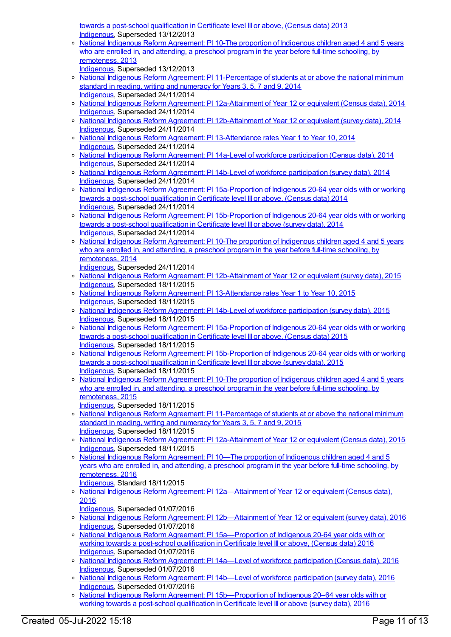towards a post-school qualification in Certificate level III or above, (Census data) 2013 [Indigenous](https://meteor.aihw.gov.au/RegistrationAuthority/6), Superseded 13/12/2013

- National Indigenous Reform [Agreement:](https://meteor.aihw.gov.au/content/484327) PI 10-The proportion of Indigenous children aged 4 and 5 years who are enrolled in, and attending, a preschool program in the year before full-time schooling, by remoteness, 2013
- [Indigenous](https://meteor.aihw.gov.au/RegistrationAuthority/6), Superseded 13/12/2013
- o National Indigenous Reform Agreement: PI [11-Percentage](https://meteor.aihw.gov.au/content/525827) of students at or above the national minimum standard in reading, writing and numeracy for Years 3, 5, 7 and 9, 2014 [Indigenous](https://meteor.aihw.gov.au/RegistrationAuthority/6), Superseded 24/11/2014
- o National Indigenous Reform Agreement: PI [12a-Attainment](https://meteor.aihw.gov.au/content/525821) of Year 12 or equivalent (Census data), 2014 [Indigenous](https://meteor.aihw.gov.au/RegistrationAuthority/6), Superseded 24/11/2014
- o National Indigenous Reform Agreement: PI [12b-Attainment](https://meteor.aihw.gov.au/content/525816) of Year 12 or equivalent (survey data), 2014 [Indigenous](https://meteor.aihw.gov.au/RegistrationAuthority/6), Superseded 24/11/2014
- o National Indigenous Reform Agreement: PI [13-Attendance](https://meteor.aihw.gov.au/content/525814) rates Year 1 to Year 10, 2014 [Indigenous](https://meteor.aihw.gov.au/RegistrationAuthority/6), Superseded 24/11/2014
- National Indigenous Reform Agreement: PI 14a-Level of workforce [participation](https://meteor.aihw.gov.au/content/525776) (Census data), 2014 [Indigenous](https://meteor.aihw.gov.au/RegistrationAuthority/6), Superseded 24/11/2014
- o National Indigenous Reform Agreement: PI 14b-Level of workforce [participation](https://meteor.aihw.gov.au/content/525761) (survey data), 2014 [Indigenous](https://meteor.aihw.gov.au/RegistrationAuthority/6), Superseded 24/11/2014
- National Indigenous Reform Agreement: PI [15a-Proportion](https://meteor.aihw.gov.au/content/525738) of Indigenous 20-64 year olds with or working towards a post-school qualification in Certificate level III or above, (Census data) 2014 [Indigenous](https://meteor.aihw.gov.au/RegistrationAuthority/6), Superseded 24/11/2014
- o National Indigenous Reform Agreement: PI [15b-Proportion](https://meteor.aihw.gov.au/content/525731) of Indigenous 20-64 year olds with or working towards a post-school qualification in Certificate level III or above (survey data), 2014 [Indigenous](https://meteor.aihw.gov.au/RegistrationAuthority/6), Superseded 24/11/2014
- o National Indigenous Reform [Agreement:](https://meteor.aihw.gov.au/content/525829) PI 10-The proportion of Indigenous children aged 4 and 5 years who are enrolled in, and attending, a preschool program in the year before full-time schooling, by remoteness, 2014
- [Indigenous](https://meteor.aihw.gov.au/RegistrationAuthority/6), Superseded 24/11/2014
- National Indigenous Reform Agreement: PI [12b-Attainment](https://meteor.aihw.gov.au/content/579098) of Year 12 or equivalent (survey data), 2015 [Indigenous](https://meteor.aihw.gov.au/RegistrationAuthority/6), Superseded 18/11/2015
- o National Indigenous Reform Agreement: PI [13-Attendance](https://meteor.aihw.gov.au/content/579101) rates Year 1 to Year 10, 2015 [Indigenous](https://meteor.aihw.gov.au/RegistrationAuthority/6), Superseded 18/11/2015
- o National Indigenous Reform Agreement: PI 14b-Level of workforce [participation](https://meteor.aihw.gov.au/content/579106) (survey data), 2015 [Indigenous](https://meteor.aihw.gov.au/RegistrationAuthority/6), Superseded 18/11/2015
- o National Indigenous Reform Agreement: PI [15a-Proportion](https://meteor.aihw.gov.au/content/579108) of Indigenous 20-64 year olds with or working towards a post-school qualification in Certificate level III or above, (Census data) 2015 [Indigenous](https://meteor.aihw.gov.au/RegistrationAuthority/6), Superseded 18/11/2015
- o National Indigenous Reform Agreement: PI [15b-Proportion](https://meteor.aihw.gov.au/content/579110) of Indigenous 20-64 year olds with or working towards a post-school qualification in Certificate level III or above (survey data), 2015 [Indigenous](https://meteor.aihw.gov.au/RegistrationAuthority/6), Superseded 18/11/2015
- National Indigenous Reform [Agreement:](https://meteor.aihw.gov.au/content/579083) PI 10-The proportion of Indigenous children aged 4 and 5 years who are enrolled in, and attending, a preschool program in the year before full-time schooling, by remoteness, 2015
	- [Indigenous](https://meteor.aihw.gov.au/RegistrationAuthority/6), Superseded 18/11/2015
- National Indigenous Reform Agreement: PI [11-Percentage](https://meteor.aihw.gov.au/content/579087) of students at or above the national minimum standard in reading, writing and numeracy for Years 3, 5, 7 and 9, 2015 [Indigenous](https://meteor.aihw.gov.au/RegistrationAuthority/6), Superseded 18/11/2015
- o National Indigenous Reform Agreement: PI [12a-Attainment](https://meteor.aihw.gov.au/content/579092) of Year 12 or equivalent (Census data), 2015 [Indigenous](https://meteor.aihw.gov.au/RegistrationAuthority/6), Superseded 18/11/2015
- National Indigenous Reform [Agreement:](https://meteor.aihw.gov.au/content/611186) PI 10—The proportion of Indigenous children aged 4 and 5 years who are enrolled in, and attending, a preschool program in the year before full-time schooling, by remoteness, 2016
- [Indigenous](https://meteor.aihw.gov.au/RegistrationAuthority/6), Standard 18/11/2015 o National Indigenous Reform Agreement: PI 12a-Attainment of Year 12 or equivalent (Census data),
- 2016 [Indigenous](https://meteor.aihw.gov.au/RegistrationAuthority/6), Superseded 01/07/2016
- National Indigenous Reform Agreement: PI [12b—Attainment](https://meteor.aihw.gov.au/content/611195) of Year 12 or equivalent (survey data), 2016 [Indigenous](https://meteor.aihw.gov.au/RegistrationAuthority/6), Superseded 01/07/2016
- National Indigenous Reform Agreement: PI [15a—Proportion](https://meteor.aihw.gov.au/content/611208) of Indigenous 20-64 year olds with or working towards a post-school qualification in Certificate level III or above, (Census data) 2016 [Indigenous](https://meteor.aihw.gov.au/RegistrationAuthority/6), Superseded 01/07/2016
- National Indigenous Reform Agreement: PI 14a—Level of workforce [participation](https://meteor.aihw.gov.au/content/611201) (Census data), 2016 [Indigenous](https://meteor.aihw.gov.au/RegistrationAuthority/6), Superseded 01/07/2016
- National Indigenous Reform Agreement: PI 14b—Level of workforce [participation](https://meteor.aihw.gov.au/content/611204) (survey data), 2016 [Indigenous](https://meteor.aihw.gov.au/RegistrationAuthority/6), Superseded 01/07/2016
- o National Indigenous Reform Agreement: PI 15b-Proportion of Indigenous 20-64 year olds with or working towards a post-school qualification in Certificate level III or above (survey data), 2016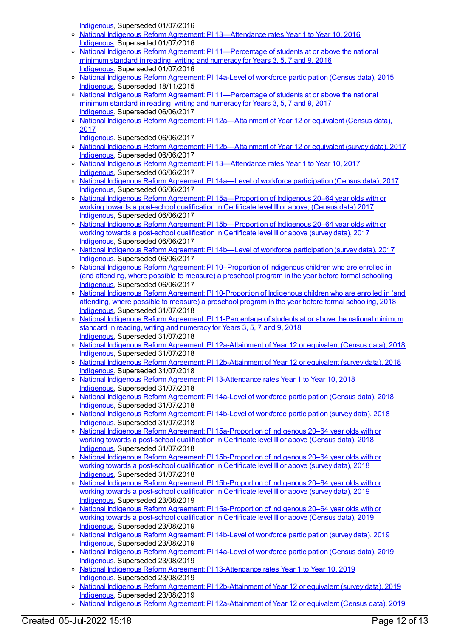[Indigenous](https://meteor.aihw.gov.au/RegistrationAuthority/6), Superseded 01/07/2016

- National Indigenous Reform Agreement: PI [13—Attendance](https://meteor.aihw.gov.au/content/612543) rates Year 1 to Year 10, 2016 [Indigenous](https://meteor.aihw.gov.au/RegistrationAuthority/6), Superseded 01/07/2016
- o National Indigenous Reform Agreement: PI [11—Percentage](https://meteor.aihw.gov.au/content/611189) of students at or above the national minimum standard in reading, writing and numeracy for Years 3, 5, 7 and 9, 2016 [Indigenous](https://meteor.aihw.gov.au/RegistrationAuthority/6), Superseded 01/07/2016
- o National Indigenous Reform Agreement: PI 14a-Level of workforce [participation](https://meteor.aihw.gov.au/content/579104) (Census data), 2015 [Indigenous](https://meteor.aihw.gov.au/RegistrationAuthority/6), Superseded 18/11/2015
- o National Indigenous Reform Agreement: PI [11—Percentage](https://meteor.aihw.gov.au/content/645403) of students at or above the national minimum standard in reading, writing and numeracy for Years 3, 5, 7 and 9, 2017 [Indigenous](https://meteor.aihw.gov.au/RegistrationAuthority/6), Superseded 06/06/2017
- o National Indigenous Reform Agreement: PI 12a-Attainment of Year 12 or equivalent (Census data), 2017
	- [Indigenous](https://meteor.aihw.gov.au/RegistrationAuthority/6), Superseded 06/06/2017
- National Indigenous Reform Agreement: PI [12b—Attainment](https://meteor.aihw.gov.au/content/645407) of Year 12 or equivalent (survey data), 2017 [Indigenous](https://meteor.aihw.gov.au/RegistrationAuthority/6), Superseded 06/06/2017
- National Indigenous Reform Agreement: PI [13—Attendance](https://meteor.aihw.gov.au/content/645410) rates Year 1 to Year 10, 2017 [Indigenous](https://meteor.aihw.gov.au/RegistrationAuthority/6), Superseded 06/06/2017
- o National Indigenous Reform Agreement: PI 14a—Level of workforce [participation](https://meteor.aihw.gov.au/content/645412) (Census data), 2017 [Indigenous](https://meteor.aihw.gov.au/RegistrationAuthority/6), Superseded 06/06/2017
- o National Indigenous Reform Agreement: PI [15a—Proportion](https://meteor.aihw.gov.au/content/645416) of Indigenous 20–64 year olds with or working towards a post-school qualification in Certificate level III or above, (Census data) 2017 [Indigenous](https://meteor.aihw.gov.au/RegistrationAuthority/6), Superseded 06/06/2017
- o National Indigenous Reform Agreement: PI [15b—Proportion](https://meteor.aihw.gov.au/content/645418) of Indigenous 20–64 year olds with or working towards a post-school qualification in Certificate level III or above (survey data), 2017 [Indigenous](https://meteor.aihw.gov.au/RegistrationAuthority/6), Superseded 06/06/2017
- National Indigenous Reform Agreement: PI 14b—Level of workforce [participation](https://meteor.aihw.gov.au/content/645414) (survey data), 2017 [Indigenous](https://meteor.aihw.gov.au/RegistrationAuthority/6), Superseded 06/06/2017
- o National Indigenous Reform Agreement: PI [10–Proportion](https://meteor.aihw.gov.au/content/663195) of Indigenous children who are enrolled in (and attending, where possible to measure) a preschool program in the year before formal schooling [Indigenous](https://meteor.aihw.gov.au/RegistrationAuthority/6), Superseded 06/06/2017
- o National Indigenous Reform Agreement: PI [10-Proportion](https://meteor.aihw.gov.au/content/668641) of Indigenous children who are enrolled in (and attending, where possible to measure) a preschool program in the year before formal schooling, 2018 [Indigenous](https://meteor.aihw.gov.au/RegistrationAuthority/6), Superseded 31/07/2018
- o National Indigenous Reform Agreement: PI [11-Percentage](https://meteor.aihw.gov.au/content/668655) of students at or above the national minimum standard in reading, writing and numeracy for Years 3, 5, 7 and 9, 2018 [Indigenous](https://meteor.aihw.gov.au/RegistrationAuthority/6), Superseded 31/07/2018
- o National Indigenous Reform Agreement: PI [12a-Attainment](https://meteor.aihw.gov.au/content/668649) of Year 12 or equivalent (Census data), 2018 [Indigenous](https://meteor.aihw.gov.au/RegistrationAuthority/6), Superseded 31/07/2018
- o National Indigenous Reform Agreement: PI [12b-Attainment](https://meteor.aihw.gov.au/content/668646) of Year 12 or equivalent (survey data), 2018 [Indigenous](https://meteor.aihw.gov.au/RegistrationAuthority/6), Superseded 31/07/2018
- National Indigenous Reform Agreement: PI [13-Attendance](https://meteor.aihw.gov.au/content/668651) rates Year 1 to Year 10, 2018 [Indigenous](https://meteor.aihw.gov.au/RegistrationAuthority/6), Superseded 31/07/2018
- o National Indigenous Reform Agreement: PI 14a-Level of workforce [participation](https://meteor.aihw.gov.au/content/668662) (Census data), 2018 [Indigenous](https://meteor.aihw.gov.au/RegistrationAuthority/6), Superseded 31/07/2018
- National Indigenous Reform Agreement: PI 14b-Level of workforce [participation](https://meteor.aihw.gov.au/content/668657) (survey data), 2018 [Indigenous](https://meteor.aihw.gov.au/RegistrationAuthority/6), Superseded 31/07/2018
- National Indigenous Reform Agreement: PI [15a-Proportion](https://meteor.aihw.gov.au/content/668659) of Indigenous 20–64 year olds with or working towards a post-school qualification in Certificate level III or above (Census data), 2018 [Indigenous](https://meteor.aihw.gov.au/RegistrationAuthority/6), Superseded 31/07/2018
- o National Indigenous Reform Agreement: PI [15b-Proportion](https://meteor.aihw.gov.au/content/668653) of Indigenous 20-64 year olds with or working towards a post-school qualification in Certificate level III or above (survey data), 2018 [Indigenous](https://meteor.aihw.gov.au/RegistrationAuthority/6), Superseded 31/07/2018
- o National Indigenous Reform Agreement: PI [15b-Proportion](https://meteor.aihw.gov.au/content/699478) of Indigenous 20–64 year olds with or working towards a post-school qualification in Certificate level III or above (survey data), 2019 [Indigenous](https://meteor.aihw.gov.au/RegistrationAuthority/6), Superseded 23/08/2019
- o National Indigenous Reform Agreement: PI [15a-Proportion](https://meteor.aihw.gov.au/content/699476) of Indigenous 20–64 year olds with or working towards a post-school qualification in Certificate level III or above (Census data), 2019 [Indigenous](https://meteor.aihw.gov.au/RegistrationAuthority/6), Superseded 23/08/2019
- National Indigenous Reform Agreement: PI 14b-Level of workforce [participation](https://meteor.aihw.gov.au/content/699473) (survey data), 2019 [Indigenous](https://meteor.aihw.gov.au/RegistrationAuthority/6), Superseded 23/08/2019
- National Indigenous Reform Agreement: PI 14a-Level of workforce [participation](https://meteor.aihw.gov.au/content/699471) (Census data), 2019 [Indigenous](https://meteor.aihw.gov.au/RegistrationAuthority/6), Superseded 23/08/2019
- National Indigenous Reform Agreement: PI [13-Attendance](https://meteor.aihw.gov.au/content/699469) rates Year 1 to Year 10, 2019 [Indigenous](https://meteor.aihw.gov.au/RegistrationAuthority/6), Superseded 23/08/2019
- o National Indigenous Reform Agreement: PI [12b-Attainment](https://meteor.aihw.gov.au/content/699466) of Year 12 or equivalent (survey data), 2019 [Indigenous](https://meteor.aihw.gov.au/RegistrationAuthority/6), Superseded 23/08/2019
- o National Indigenous Reform Agreement: PI [12a-Attainment](https://meteor.aihw.gov.au/content/699464) of Year 12 or equivalent (Census data), 2019